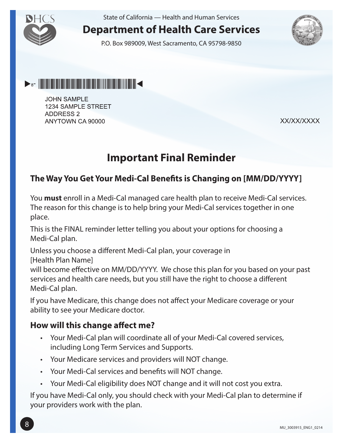

State of California — Health and Human Services

# **Department of Health Care Services**

P.O. Box 989009, West Sacramento, CA 95798-9850





**JOHN SAMPLE** 1234 SAMPLE STREET **ADDRESS 2** ANYTOWN CA 90000

XX/XX/XXXX

# **Important Final Reminder**

#### **The Way You Get Your Medi-Cal Benefits is Changing on [MM/DD/YYYY]**

You **must** enroll in a Medi-Cal managed care health plan to receive Medi-Cal services. The reason for this change is to help bring your Medi-Cal services together in one place.

This is the FINAL reminder letter telling you about your options for choosing a Medi-Cal plan.

Unless you choose a different Medi-Cal plan, your coverage in

[Health Plan Name]

will become effective on MM/DD/YYYY. We chose this plan for you based on your past services and health care needs, but you still have the right to choose a different Medi-Cal plan.

If you have Medicare, this change does not affect your Medicare coverage or your ability to see your Medicare doctor.

#### **How will this change affect me?**

- • Your Medi-Cal plan will coordinate all of your Medi-Cal covered services, including Long Term Services and Supports.
- • Your Medicare services and providers will NOT change.
- • Your Medi-Cal services and benefits will NOT change.
- • Your Medi-Cal eligibility does NOT change and it will not cost you extra.

If you have Medi-Cal only, you should check with your Medi-Cal plan to determine if your providers work with the plan.